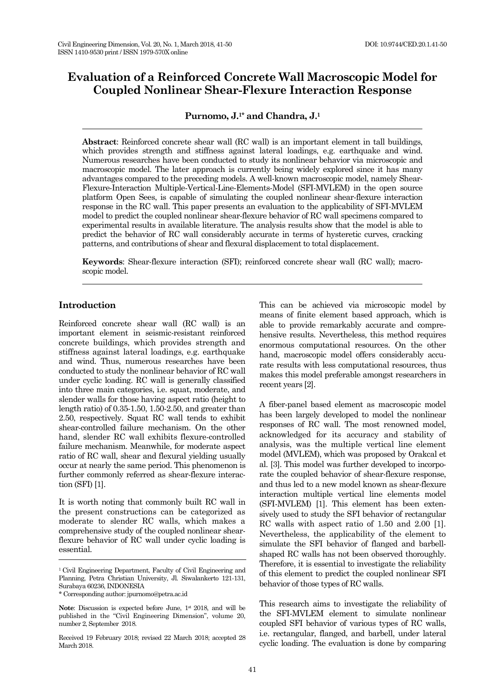# **Evaluation of a Reinforced Concrete Wall Macroscopic Model for Coupled Nonlinear Shear-Flexure Interaction Response**

**Purnomo, J.1\* and Chandra, J.<sup>1</sup>**

**Abstract**: Reinforced concrete shear wall (RC wall) is an important element in tall buildings, which provides strength and stiffness against lateral loadings, e.g. earthquake and wind. Numerous researches have been conducted to study its nonlinear behavior via microscopic and macroscopic model. The later approach is currently being widely explored since it has many advantages compared to the preceding models. A well-known macroscopic model, namely Shear-Flexure-Interaction Multiple-Vertical-Line-Elements-Model (SFI-MVLEM) in the open source platform Open Sees, is capable of simulating the coupled nonlinear shear-flexure interaction response in the RC wall. This paper presents an evaluation to the applicability of SFI-MVLEM model to predict the coupled nonlinear shear-flexure behavior of RC wall specimens compared to experimental results in available literature. The analysis results show that the model is able to predict the behavior of RC wall considerably accurate in terms of hysteretic curves, cracking patterns, and contributions of shear and flexural displacement to total displacement.

**Keywords**: Shear-flexure interaction (SFI); reinforced concrete shear wall (RC wall); macroscopic model.

# **Introduction**

Reinforced concrete shear wall (RC wall) is an important element in seismic-resistant reinforced concrete buildings, which provides strength and stiffness against lateral loadings, e.g. earthquake and wind. Thus, numerous researches have been conducted to study the nonlinear behavior of RC wall under cyclic loading. RC wall is generally classified into three main categories, i.e. squat, moderate, and slender walls for those having aspect ratio (height to length ratio) of 0.35-1.50, 1.50-2.50, and greater than 2.50, respectively. Squat RC wall tends to exhibit shear-controlled failure mechanism. On the other hand, slender RC wall exhibits flexure-controlled failure mechanism. Meanwhile, for moderate aspect ratio of RC wall, shear and flexural yielding usually occur at nearly the same period. This phenomenon is further commonly referred as shear-flexure interaction (SFI) [1].

It is worth noting that commonly built RC wall in the present constructions can be categorized as moderate to slender RC walls, which makes a comprehensive study of the coupled nonlinear shearflexure behavior of RC wall under cyclic loading is essential.

Received 19 February 2018; revised 22 March 2018; accepted 28 March 2018.

This can be achieved via microscopic model by means of finite element based approach, which is able to provide remarkably accurate and comprehensive results. Nevertheless, this method requires enormous computational resources. On the other hand, macroscopic model offers considerably accurate results with less computational resources, thus makes this model preferable amongst researchers in recent years [2].

A fiber-panel based element as macroscopic model has been largely developed to model the nonlinear responses of RC wall. The most renowned model, acknowledged for its accuracy and stability of analysis, was the multiple vertical line element model (MVLEM), which was proposed by Orakcal et al. [3]. This model was further developed to incorporate the coupled behavior of shear-flexure response, and thus led to a new model known as shear-flexure interaction multiple vertical line elements model (SFI-MVLEM) [1]. This element has been extensively used to study the SFI behavior of rectangular RC walls with aspect ratio of 1.50 and 2.00 [1]. Nevertheless, the applicability of the element to simulate the SFI behavior of flanged and barbellshaped RC walls has not been observed thoroughly. Therefore, it is essential to investigate the reliability of this element to predict the coupled nonlinear SFI behavior of those types of RC walls.

This research aims to investigate the reliability of the SFI-MVLEM element to simulate nonlinear coupled SFI behavior of various types of RC walls, i.e. rectangular, flanged, and barbell, under lateral cyclic loading. The evaluation is done by comparing

<sup>1</sup> Civil Engineering Department, Faculty of Civil Engineering and Planning, Petra Christian University, Jl. Siwalankerto 121-131, Surabaya 60236, INDONESIA

<sup>\*</sup> Corresponding author: [jpurnomo@petra.ac.id](mailto:jpurnomo@petra.ac.id)

**Note**: Discussion is expected before June, 1<sup>st</sup> 2018, and will be published in the "Civil Engineering Dimension", volume 20, number 2, September 2018.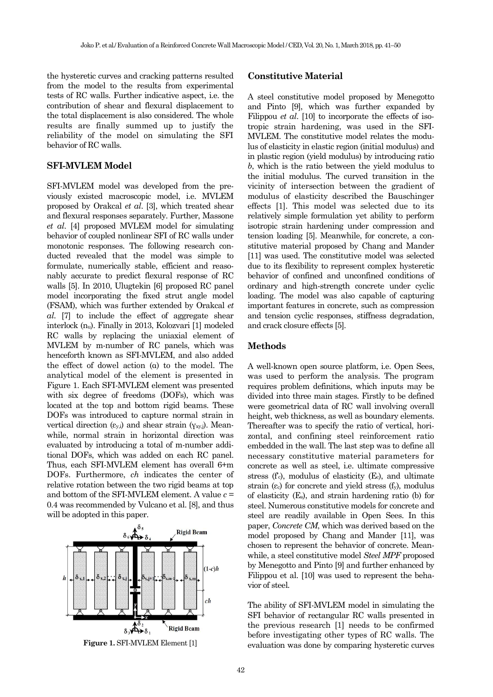the hysteretic curves and cracking patterns resulted from the model to the results from experimental tests of RC walls. Further indicative aspect, i.e. the contribution of shear and flexural displacement to the total displacement is also considered. The whole results are finally summed up to justify the reliability of the model on simulating the SFI behavior of RC walls.

## **SFI-MVLEM Model**

SFI-MVLEM model was developed from the previously existed macroscopic model, i.e. MVLEM proposed by Orakcal *et al*. [3], which treated shear and flexural responses separately. Further, Massone *et al*. [4] proposed MVLEM model for simulating behavior of coupled nonlinear SFI of RC walls under monotonic responses. The following research conducted revealed that the model was simple to formulate, numerically stable, efficient and reasonably accurate to predict flexural response of RC walls [5]. In 2010, Ulugtekin [6] proposed RC panel model incorporating the fixed strut angle model (FSAM), which was further extended by Orakcal *et al*. [7] to include the effect of aggregate shear interlock (nu). Finally in 2013, Kolozvari [1] modeled RC walls by replacing the uniaxial element of MVLEM by m-number of RC panels, which was henceforth known as SFI-MVLEM, and also added the effect of dowel action (α) to the model. The analytical model of the element is presented in Figure 1. Each SFI-MVLEM element was presented with six degree of freedoms (DOFs), which was located at the top and bottom rigid beams. These DOFs was introduced to capture normal strain in vertical direction  $(e_{y,i})$  and shear strain  $(y_{xy,i})$ . Meanwhile, normal strain in horizontal direction was evaluated by introducing a total of m-number additional DOFs, which was added on each RC panel. Thus, each SFI-MVLEM element has overall 6+m DOFs. Furthermore, *ch* indicates the center of relative rotation between the two rigid beams at top and bottom of the SFI-MVLEM element. A value  $c =$ 0.4 was recommended by Vulcano et al. [8], and thus will be adopted in this paper.



**Figure 1.** SFI-MVLEM Element [1]

## **Constitutive Material**

A steel constitutive model proposed by Menegotto and Pinto [9], which was further expanded by Filippou *et al*. [10] to incorporate the effects of isotropic strain hardening, was used in the SFI-MVLEM. The constitutive model relates the modulus of elasticity in elastic region (initial modulus) and in plastic region (yield modulus) by introducing ratio *b*, which is the ratio between the yield modulus to the initial modulus. The curved transition in the vicinity of intersection between the gradient of modulus of elasticity described the Bauschinger effects [1]. This model was selected due to its relatively simple formulation yet ability to perform isotropic strain hardening under compression and tension loading [5]. Meanwhile, for concrete, a constitutive material proposed by Chang and Mander [11] was used. The constitutive model was selected due to its flexibility to represent complex hysteretic behavior of confined and unconfined conditions of ordinary and high-strength concrete under cyclic loading. The model was also capable of capturing important features in concrete, such as compression and tension cyclic responses, stiffness degradation, and crack closure effects [5].

## **Methods**

A well-known open source platform, i.e. Open Sees, was used to perform the analysis. The program requires problem definitions, which inputs may be divided into three main stages. Firstly to be defined were geometrical data of RC wall involving overall height, web thickness, as well as boundary elements. Thereafter was to specify the ratio of vertical, horizontal, and confining steel reinforcement ratio embedded in the wall. The last step was to define all necessary constitutive material parameters for concrete as well as steel, i.e. ultimate compressive stress  $(f_c)$ , modulus of elasticity  $(E_c)$ , and ultimate strain  $(\varepsilon_c)$  for concrete and yield stress  $(f_v)$ , modulus of elasticity (Es), and strain hardening ratio (b) for steel. Numerous constitutive models for concrete and steel are readily available in Open Sees. In this paper, *Concrete CM*, which was derived based on the model proposed by Chang and Mander [11], was chosen to represent the behavior of concrete. Meanwhile, a steel constitutive model *Steel MPF* proposed by Menegotto and Pinto [9] and further enhanced by Filippou et al. [10] was used to represent the behavior of steel.

The ability of SFI-MVLEM model in simulating the SFI behavior of rectangular RC walls presented in the previous research [1] needs to be confirmed before investigating other types of RC walls. The evaluation was done by comparing hysteretic curves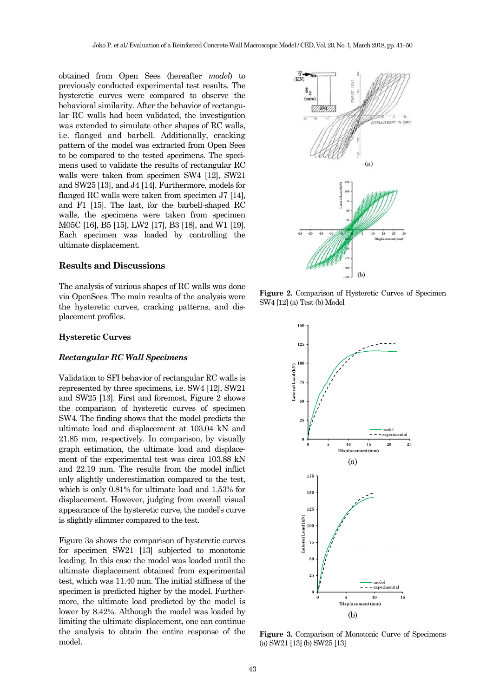obtained from Open Sees (hereafter *model*) to previously conducted experimental test results. The hysteretic curves were compared to observe the behavioral similarity. After the behavior of rectangular RC walls had been validated, the investigation was extended to simulate other shapes of RC walls, i.e. flanged and barbell. Additionally, cracking pattern of the model was extracted from Open Sees to be compared to the tested specimens. The specimens used to validate the results of rectangular RC walls were taken from specimen SW4 [12], SW21 and SW25 [13], and J4 [14]. Furthermore, models for flanged RC walls were taken from specimen J7 [14], and F1 [15]. The last, for the barbell-shaped RC walls, the specimens were taken from specimen M05C [16], B5 [15], LW2 [17], B3 [18], and W1 [19]. Each specimen was loaded by controlling the ultimate displacement.

## **Results and Discussions**

The analysis of various shapes of RC walls was done via OpenSees. The main results of the analysis were the hysteretic curves, cracking patterns, and displacement profiles.

#### **Hysteretic Curves**

## *Rectangular RC Wall Specimens*

Validation to SFI behavior of rectangular RC walls is represented by three specimens, i.e. SW4 [12], SW21 and SW25 [13]. First and foremost, Figure 2 shows the comparison of hysteretic curves of specimen SW4. The finding shows that the model predicts the ultimate load and displacement at 103.04 kN and 21.85 mm, respectively. In comparison, by visually graph estimation, the ultimate load and displacement of the experimental test was circa 103.88 kN and 22.19 mm. The results from the model inflict only slightly underestimation compared to the test, which is only 0.81% for ultimate load and 1.53% for displacement. However, judging from overall visual appearance of the hysteretic curve, the model's curve is slightly slimmer compared to the test.

Figure 3a shows the comparison of hysteretic curves for specimen SW21 [13] subjected to monotonic loading. In this case the model was loaded until the ultimate displacement obtained from experimental test, which was 11.40 mm. The initial stiffness of the specimen is predicted higher by the model. Furthermore, the ultimate load predicted by the model is lower by 8.42%. Although the model was loaded by limiting the ultimate displacement, one can continue the analysis to obtain the entire response of the model.



**Figure 2.** Comparison of Hysteretic Curves of Specimen SW4 [12] (a) Test (b) Model



**Figure 3.** Comparison of Monotonic Curve of Specimens (a) SW21 [13] (b) SW25 [13]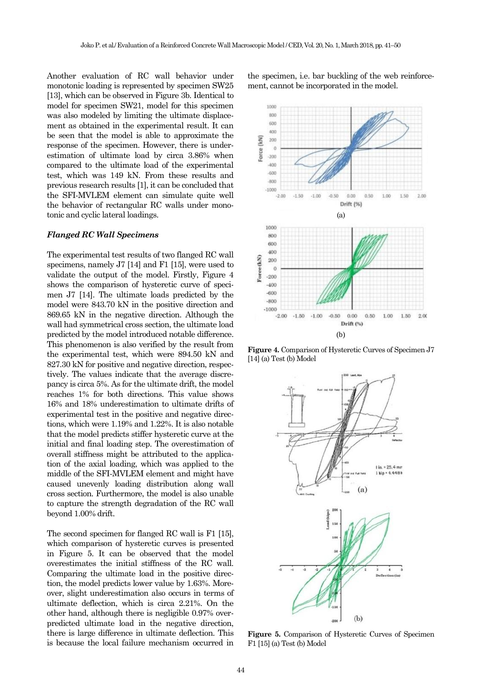Another evaluation of RC wall behavior under monotonic loading is represented by specimen SW25 [13], which can be observed in Figure 3b. Identical to model for specimen SW21, model for this specimen was also modeled by limiting the ultimate displacement as obtained in the experimental result. It can be seen that the model is able to approximate the response of the specimen. However, there is underestimation of ultimate load by circa 3.86% when compared to the ultimate load of the experimental test, which was 149 kN. From these results and previous research results [1], it can be concluded that the SFI-MVLEM element can simulate quite well the behavior of rectangular RC walls under monotonic and cyclic lateral loadings.

## *Flanged RC Wall Specimens*

The experimental test results of two flanged RC wall specimens, namely J7 [14] and F1 [15], were used to validate the output of the model. Firstly, Figure 4 shows the comparison of hysteretic curve of specimen J7 [14]. The ultimate loads predicted by the model were 843.70 kN in the positive direction and 869.65 kN in the negative direction. Although the wall had symmetrical cross section, the ultimate load predicted by the model introduced notable difference. This phenomenon is also verified by the result from the experimental test, which were 894.50 kN and 827.30 kN for positive and negative direction, respectively. The values indicate that the average discrepancy is circa 5%. As for the ultimate drift, the model reaches 1% for both directions. This value shows 16% and 18% underestimation to ultimate drifts of experimental test in the positive and negative directions, which were 1.19% and 1.22%. It is also notable that the model predicts stiffer hysteretic curve at the initial and final loading step. The overestimation of overall stiffness might be attributed to the application of the axial loading, which was applied to the middle of the SFI-MVLEM element and might have caused unevenly loading distribution along wall cross section. Furthermore, the model is also unable to capture the strength degradation of the RC wall beyond 1.00% drift.

The second specimen for flanged RC wall is F1 [15], which comparison of hysteretic curves is presented in Figure 5. It can be observed that the model overestimates the initial stiffness of the RC wall. Comparing the ultimate load in the positive direction, the model predicts lower value by 1.63%. Moreover, slight underestimation also occurs in terms of ultimate deflection, which is circa 2.21%. On the other hand, although there is negligible 0.97% overpredicted ultimate load in the negative direction, there is large difference in ultimate deflection. This is because the local failure mechanism occurred in

the specimen, i.e. bar buckling of the web reinforcement, cannot be incorporated in the model.



**Figure 4.** Comparison of Hysteretic Curves of Specimen J7 [14] (a) Test (b) Model



**Figure 5.** Comparison of Hysteretic Curves of Specimen F1 [15] (a) Test (b) Model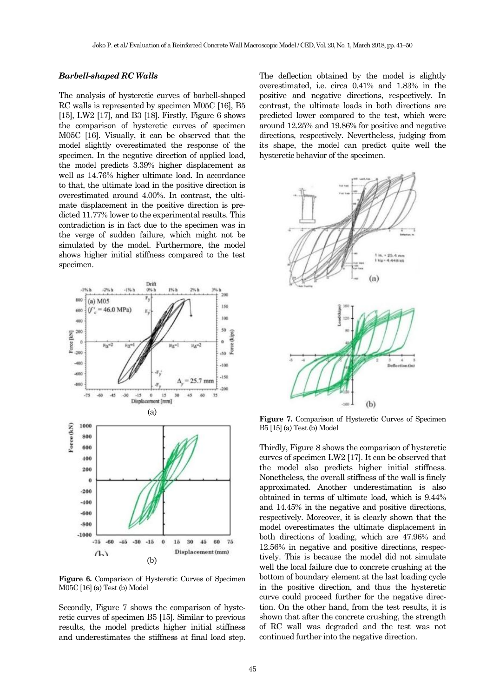#### *Barbell-shaped RC Walls*

The analysis of hysteretic curves of barbell-shaped RC walls is represented by specimen M05C [16], B5 [15], LW2 [17], and B3 [18]. Firstly, Figure 6 shows the comparison of hysteretic curves of specimen M05C [16]. Visually, it can be observed that the model slightly overestimated the response of the specimen. In the negative direction of applied load, the model predicts 3.39% higher displacement as well as 14.76% higher ultimate load. In accordance to that, the ultimate load in the positive direction is overestimated around 4.00%. In contrast, the ultimate displacement in the positive direction is predicted 11.77% lower to the experimental results. This contradiction is in fact due to the specimen was in the verge of sudden failure, which might not be simulated by the model. Furthermore, the model shows higher initial stiffness compared to the test specimen.



**Figure 6.** Comparison of Hysteretic Curves of Specimen M05C [16] (a) Test (b) Model

Secondly, Figure 7 shows the comparison of hysteretic curves of specimen B5 [15]. Similar to previous results, the model predicts higher initial stiffness and underestimates the stiffness at final load step.

The deflection obtained by the model is slightly overestimated, i.e. circa 0.41% and 1.83% in the positive and negative directions, respectively. In contrast, the ultimate loads in both directions are predicted lower compared to the test, which were around 12.25% and 19.86% for positive and negative directions, respectively. Nevertheless, judging from its shape, the model can predict quite well the hysteretic behavior of the specimen.



**Figure 7.** Comparison of Hysteretic Curves of Specimen B5 [15] (a) Test (b) Model

Thirdly, Figure 8 shows the comparison of hysteretic curves of specimen LW2 [17]. It can be observed that the model also predicts higher initial stiffness. Nonetheless, the overall stiffness of the wall is finely approximated. Another underestimation is also obtained in terms of ultimate load, which is 9.44% and 14.45% in the negative and positive directions, respectively. Moreover, it is clearly shown that the model overestimates the ultimate displacement in both directions of loading, which are 47.96% and 12.56% in negative and positive directions, respectively. This is because the model did not simulate well the local failure due to concrete crushing at the bottom of boundary element at the last loading cycle in the positive direction, and thus the hysteretic curve could proceed further for the negative direction. On the other hand, from the test results, it is shown that after the concrete crushing, the strength of RC wall was degraded and the test was not continued further into the negative direction.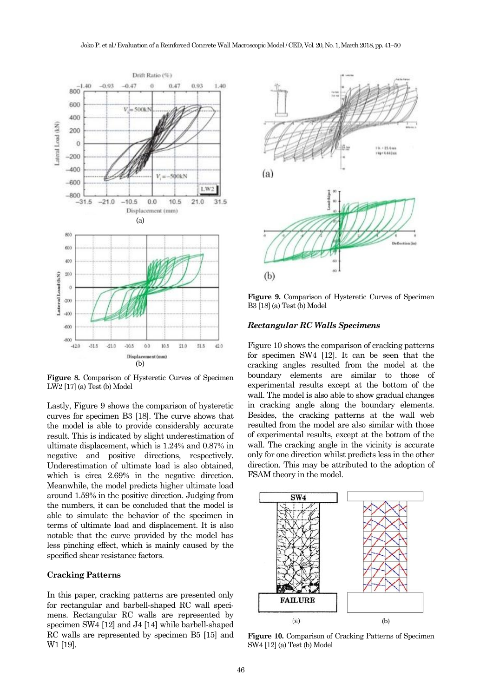

**Figure 8.** Comparison of Hysteretic Curves of Specimen LW2 [17] (a) Test (b) Model

Lastly, Figure 9 shows the comparison of hysteretic curves for specimen B3 [18]. The curve shows that the model is able to provide considerably accurate result. This is indicated by slight underestimation of ultimate displacement, which is 1.24% and 0.87% in negative and positive directions, respectively. Underestimation of ultimate load is also obtained, which is circa  $2.69\%$  in the negative direction. Meanwhile, the model predicts higher ultimate load around 1.59% in the positive direction. Judging from the numbers, it can be concluded that the model is able to simulate the behavior of the specimen in terms of ultimate load and displacement. It is also notable that the curve provided by the model has less pinching effect, which is mainly caused by the specified shear resistance factors.

## **Cracking Patterns**

In this paper, cracking patterns are presented only for rectangular and barbell-shaped RC wall specimens. Rectangular RC walls are represented by specimen SW4 [12] and J4 [14] while barbell-shaped RC walls are represented by specimen B5 [15] and W1 [19].



**Figure 9.** Comparison of Hysteretic Curves of Specimen B3 [18] (a) Test (b) Model

## *Rectangular RC Walls Specimens*

Figure 10 shows the comparison of cracking patterns for specimen SW4 [12]. It can be seen that the cracking angles resulted from the model at the boundary elements are similar to those of experimental results except at the bottom of the wall. The model is also able to show gradual changes in cracking angle along the boundary elements. Besides, the cracking patterns at the wall web resulted from the model are also similar with those of experimental results, except at the bottom of the wall. The cracking angle in the vicinity is accurate only for one direction whilst predicts less in the other direction. This may be attributed to the adoption of FSAM theory in the model.



**Figure 10.** Comparison of Cracking Patterns of Specimen SW4 [12] (a) Test (b) Model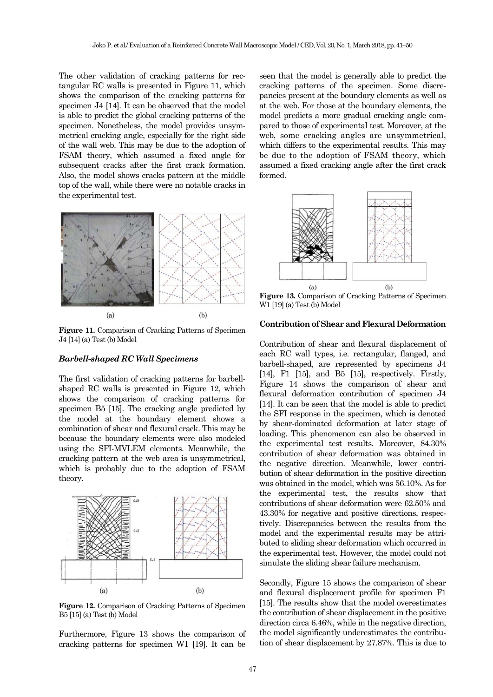The other validation of cracking patterns for rectangular RC walls is presented in Figure 11, which shows the comparison of the cracking patterns for specimen J4 [14]. It can be observed that the model is able to predict the global cracking patterns of the specimen. Nonetheless, the model provides unsymmetrical cracking angle, especially for the right side of the wall web. This may be due to the adoption of FSAM theory, which assumed a fixed angle for subsequent cracks after the first crack formation. Also, the model shows cracks pattern at the middle top of the wall, while there were no notable cracks in the experimental test.



**Figure 11.** Comparison of Cracking Patterns of Specimen J4 [14] (a) Test (b) Model

#### *Barbell-shaped RC Wall Specimens*

The first validation of cracking patterns for barbellshaped RC walls is presented in Figure 12, which shows the comparison of cracking patterns for specimen B5 [15]. The cracking angle predicted by the model at the boundary element shows a combination of shear and flexural crack. This may be because the boundary elements were also modeled using the SFI-MVLEM elements. Meanwhile, the cracking pattern at the web area is unsymmetrical, which is probably due to the adoption of FSAM theory.



**Figure 12.** Comparison of Cracking Patterns of Specimen B5 [15] (a) Test (b) Model

Furthermore, Figure 13 shows the comparison of cracking patterns for specimen W1 [19]. It can be

seen that the model is generally able to predict the cracking patterns of the specimen. Some discrepancies present at the boundary elements as well as at the web. For those at the boundary elements, the model predicts a more gradual cracking angle compared to those of experimental test. Moreover, at the web, some cracking angles are unsymmetrical, which differs to the experimental results. This may be due to the adoption of FSAM theory, which assumed a fixed cracking angle after the first crack formed.



**Figure 13.** Comparison of Cracking Patterns of Specimen W1 [19] (a) Test (b) Model

## **Contribution of Shear and Flexural Deformation**

Contribution of shear and flexural displacement of each RC wall types, i.e. rectangular, flanged, and barbell-shaped, are represented by specimens J4 [14], F1 [15], and B5 [15], respectively. Firstly, Figure 14 shows the comparison of shear and flexural deformation contribution of specimen J4 [14]. It can be seen that the model is able to predict the SFI response in the specimen, which is denoted by shear-dominated deformation at later stage of loading. This phenomenon can also be observed in the experimental test results. Moreover, 84.30% contribution of shear deformation was obtained in the negative direction. Meanwhile, lower contribution of shear deformation in the positive direction was obtained in the model, which was 56.10%. As for the experimental test, the results show that contributions of shear deformation were 62.50% and 43.30% for negative and positive directions, respectively. Discrepancies between the results from the model and the experimental results may be attributed to sliding shear deformation which occurred in the experimental test. However, the model could not simulate the sliding shear failure mechanism.

Secondly, Figure 15 shows the comparison of shear and flexural displacement profile for specimen F1 [15]. The results show that the model overestimates the contribution of shear displacement in the positive direction circa 6.46%, while in the negative direction, the model significantly underestimates the contribution of shear displacement by 27.87%. This is due to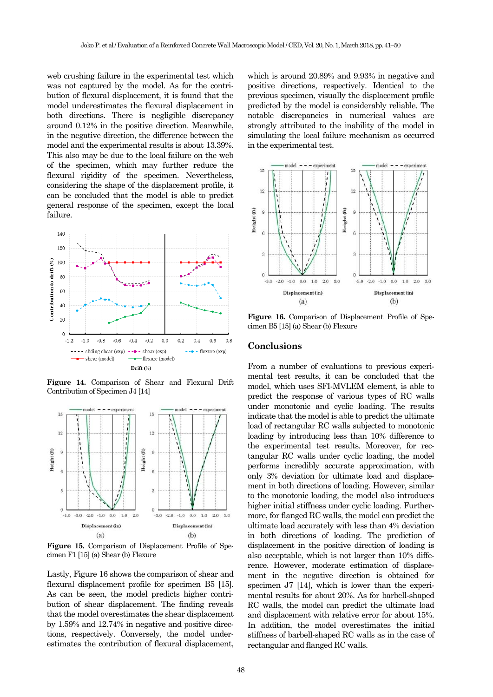web crushing failure in the experimental test which was not captured by the model. As for the contribution of flexural displacement, it is found that the model underestimates the flexural displacement in both directions. There is negligible discrepancy around 0.12% in the positive direction. Meanwhile, in the negative direction, the difference between the model and the experimental results is about 13.39%. This also may be due to the local failure on the web of the specimen, which may further reduce the flexural rigidity of the specimen. Nevertheless, considering the shape of the displacement profile, it can be concluded that the model is able to predict general response of the specimen, except the local failure.



**Figure 14.** Comparison of Shear and Flexural Drift Contribution of Specimen J4 [14]



**Figure 15.** Comparison of Displacement Profile of Specimen F1 [15] (a) Shear (b) Flexure

Lastly, Figure 16 shows the comparison of shear and flexural displacement profile for specimen B5 [15]. As can be seen, the model predicts higher contribution of shear displacement. The finding reveals that the model overestimates the shear displacement by 1.59% and 12.74% in negative and positive directions, respectively. Conversely, the model underestimates the contribution of flexural displacement,

which is around 20.89% and 9.93% in negative and positive directions, respectively. Identical to the previous specimen, visually the displacement profile predicted by the model is considerably reliable. The notable discrepancies in numerical values are strongly attributed to the inability of the model in simulating the local failure mechanism as occurred in the experimental test.



**Figure 16.** Comparison of Displacement Profile of Specimen B5 [15] (a) Shear (b) Flexure

#### **Conclusions**

From a number of evaluations to previous experimental test results, it can be concluded that the model, which uses SFI-MVLEM element, is able to predict the response of various types of RC walls under monotonic and cyclic loading. The results indicate that the model is able to predict the ultimate load of rectangular RC walls subjected to monotonic loading by introducing less than 10% difference to the experimental test results. Moreover, for rectangular RC walls under cyclic loading, the model performs incredibly accurate approximation, with only 3% deviation for ultimate load and displacement in both directions of loading. However, similar to the monotonic loading, the model also introduces higher initial stiffness under cyclic loading. Furthermore, for flanged RC walls, the model can predict the ultimate load accurately with less than 4% deviation in both directions of loading. The prediction of displacement in the positive direction of loading is also acceptable, which is not larger than 10% difference. However, moderate estimation of displacement in the negative direction is obtained for specimen J7 [14], which is lower than the experimental results for about 20%. As for barbell-shaped RC walls, the model can predict the ultimate load and displacement with relative error for about 15%. In addition, the model overestimates the initial stiffness of barbell-shaped RC walls as in the case of rectangular and flanged RC walls.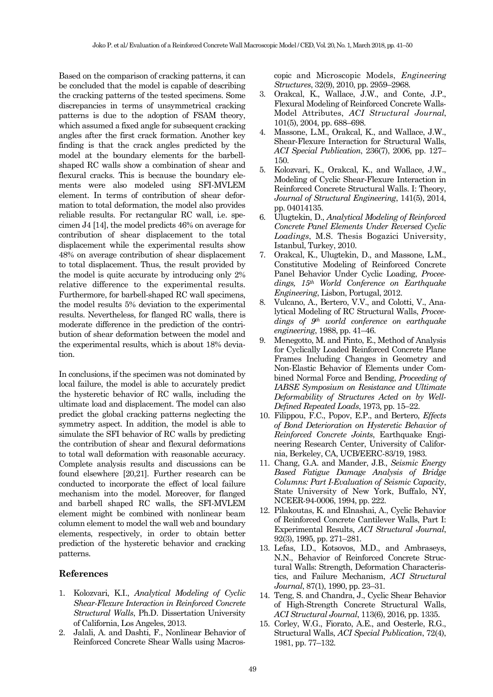Based on the comparison of cracking patterns, it can be concluded that the model is capable of describing the cracking patterns of the tested specimens. Some discrepancies in terms of unsymmetrical cracking patterns is due to the adoption of FSAM theory, which assumed a fixed angle for subsequent cracking angles after the first crack formation. Another key finding is that the crack angles predicted by the model at the boundary elements for the barbellshaped RC walls show a combination of shear and flexural cracks. This is because the boundary elements were also modeled using SFI-MVLEM element. In terms of contribution of shear deformation to total deformation, the model also provides reliable results. For rectangular RC wall, i.e. specimen J4 [14], the model predicts 46% on average for contribution of shear displacement to the total displacement while the experimental results show 48% on average contribution of shear displacement to total displacement. Thus, the result provided by the model is quite accurate by introducing only 2% relative difference to the experimental results. Furthermore, for barbell-shaped RC wall specimens, the model results 5% deviation to the experimental results. Nevertheless, for flanged RC walls, there is moderate difference in the prediction of the contribution of shear deformation between the model and the experimental results, which is about 18% deviation.

In conclusions, if the specimen was not dominated by local failure, the model is able to accurately predict the hysteretic behavior of RC walls, including the ultimate load and displacement. The model can also predict the global cracking patterns neglecting the symmetry aspect. In addition, the model is able to simulate the SFI behavior of RC walls by predicting the contribution of shear and flexural deformations to total wall deformation with reasonable accuracy. Complete analysis results and discussions can be found elsewhere [20,21]. Further research can be conducted to incorporate the effect of local failure mechanism into the model. Moreover, for flanged and barbell shaped RC walls, the SFI-MVLEM element might be combined with nonlinear beam column element to model the wall web and boundary elements, respectively, in order to obtain better prediction of the hysteretic behavior and cracking patterns.

# **References**

- 1. Kolozvari, K.I., *Analytical Modeling of Cyclic Shear-Flexure Interaction in Reinforced Concrete Structural Walls*, Ph.D. Dissertation University of California, Los Angeles, 2013.
- 2. Jalali, A. and Dashti, F., Nonlinear Behavior of Reinforced Concrete Shear Walls using Macros-

copic and Microscopic Models, *Engineering Structures*, 32(9), 2010, pp. 2959–2968.

- 3. Orakcal, K., Wallace, J.W., and Conte, J.P., Flexural Modeling of Reinforced Concrete Walls-Model Attributes, *ACI Structural Journal*, 101(5), 2004, pp. 688–698.
- Massone, L.M., Orakcal, K., and Wallace, J.W., Shear-Flexure Interaction for Structural Walls, *ACI Special Publication*, 236(7), 2006, pp. 127– 150.
- 5. Kolozvari, K., Orakcal, K., and Wallace, J.W., Modeling of Cyclic Shear-Flexure Interaction in Reinforced Concrete Structural Walls. I: Theory, *Journal of Structural Engineering*, 141(5), 2014, pp. 04014135.
- 6. Ulugtekin, D., *Analytical Modeling of Reinforced Concrete Panel Elements Under Reversed Cyclic Loadings*, M.S. Thesis Bogazici University, Istanbul, Turkey, 2010.
- 7. Orakcal, K., Ulugtekin, D., and Massone, L.M., Constitutive Modeling of Reinforced Concrete Panel Behavior Under Cyclic Loading, *Proceedings, 15th World Conference on Earthquake Engineering*, Lisbon, Portugal, 2012.
- 8. Vulcano, A., Bertero, V.V., and Colotti, V., Analytical Modeling of RC Structural Walls, *Proceedings of 9th world conference on earthquake engineering*, 1988, pp. 41–46.
- 9. Menegotto, M. and Pinto, E., Method of Analysis for Cyclically Loaded Reinforced Concrete Plane Frames Including Changes in Geometry and Non-Elastic Behavior of Elements under Combined Normal Force and Bending, *Proceeding of IABSE Symposium on Resistance and Ultimate Deformability of Structures Acted on by Well-Defined Repeated Loads*, 1973, pp. 15–22.
- 10. Filippou, F.C., Popov, E.P., and Bertero, *Effects of Bond Deterioration on Hysteretic Behavior of Reinforced Concrete Joints*, Earthquake Engineering Research Center, University of California, Berkeley, CA, UCB/EERC-83/19, 1983.
- 11. Chang, G.A. and Mander, J.B., *Seismic Energy Based Fatigue Damage Analysis of Bridge Columns: Part I-Evaluation of Seismic Capacity*, State University of New York, Buffalo, NY, NCEER-94-0006, 1994, pp. 222.
- 12. Pilakoutas, K. and Elnashai, A., Cyclic Behavior of Reinforced Concrete Cantilever Walls, Part I: Experimental Results, *ACI Structural Journal*, 92(3), 1995, pp. 271–281.
- 13. Lefas, I.D., Kotsovos, M.D., and Ambraseys, N.N., Behavior of Reinforced Concrete Structural Walls: Strength, Deformation Characteristics, and Failure Mechanism, *ACI Structural Journal*, 87(1), 1990, pp. 23–31.
- 14. Teng, S. and Chandra, J., Cyclic Shear Behavior of High-Strength Concrete Structural Walls, *ACI Structural Journal*, 113(6), 2016, pp. 1335.
- 15. Corley, W.G., Fiorato, A.E., and Oesterle, R.G., Structural Walls, *ACI Special Publication*, 72(4), 1981, pp. 77–132.